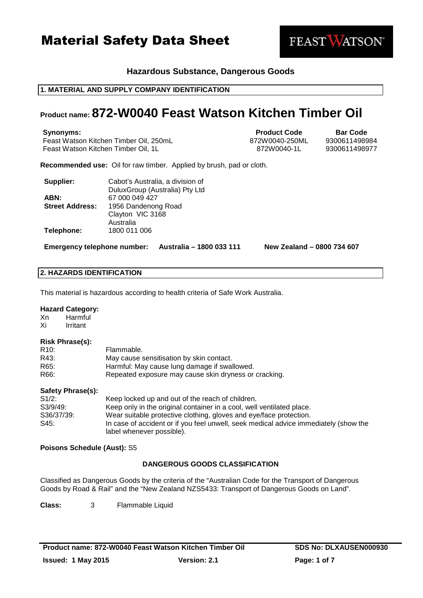

## **Hazardous Substance, Dangerous Goods**

## **1. MATERIAL AND SUPPLY COMPANY IDENTIFICATION**

## **Product name: 872-W0040 Feast Watson Kitchen Timber Oil**

**Synonyms: Product Code Bar Code Bar Code** Feast Watson Kitchen Timber Oil, 250mL 872W0040-250ML 9300611498984 Feast Watson Kitchen Timber Oil, 1L 872W0040-1L 9300611498977

**Recommended use:** Oil for raw timber. Applied by brush, pad or cloth.

| Supplier:              | Cabot's Australia, a division of |
|------------------------|----------------------------------|
|                        | DuluxGroup (Australia) Pty Ltd   |
| ABN:                   | 67 000 049 427                   |
| <b>Street Address:</b> | 1956 Dandenong Road              |
|                        | Clayton VIC 3168                 |
|                        | Australia                        |
| Telephone:             | 1800 011 006                     |

**Emergency telephone number: Australia – 1800 033 111 New Zealand – 0800 734 607**

## **2. HAZARDS IDENTIFICATION**

This material is hazardous according to health criteria of Safe Work Australia.

#### **Hazard Category:**

Xn Harmful Xi Irritant

#### **Risk Phrase(s):**

| R10: | Flammable.                                            |
|------|-------------------------------------------------------|
| R43: | May cause sensitisation by skin contact.              |
| R65: | Harmful: May cause lung damage if swallowed.          |
| R66: | Repeated exposure may cause skin dryness or cracking. |

#### **Safety Phrase(s):**

| S1/2:      | Keep locked up and out of the reach of children.                                     |
|------------|--------------------------------------------------------------------------------------|
| S3/9/49:   | Keep only in the original container in a cool, well ventilated place.                |
| S36/37/39: | Wear suitable protective clothing, gloves and eye/face protection.                   |
| S45:       | In case of accident or if you feel unwell, seek medical advice immediately (show the |
|            | label whenever possible).                                                            |

## **Poisons Schedule (Aust):** S5

## **DANGEROUS GOODS CLASSIFICATION**

Classified as Dangerous Goods by the criteria of the "Australian Code for the Transport of Dangerous Goods by Road & Rail" and the "New Zealand NZS5433: Transport of Dangerous Goods on Land".

**Class:** 3 Flammable Liquid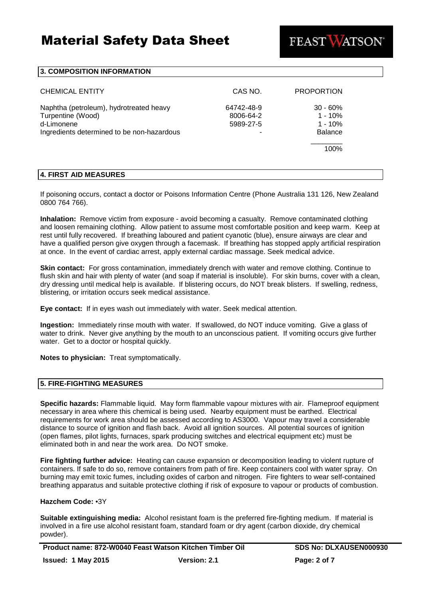

#### **3. COMPOSITION INFORMATION**

| <b>CHEMICAL ENTITY</b>                                                                                                   | CAS NO.                              | <b>PROPORTION</b>                                      |
|--------------------------------------------------------------------------------------------------------------------------|--------------------------------------|--------------------------------------------------------|
| Naphtha (petroleum), hydrotreated heavy<br>Turpentine (Wood)<br>d-Limonene<br>Ingredients determined to be non-hazardous | 64742-48-9<br>8006-64-2<br>5989-27-5 | $30 - 60%$<br>$1 - 10%$<br>$1 - 10%$<br><b>Balance</b> |
|                                                                                                                          |                                      | 100%                                                   |

## **4. FIRST AID MEASURES**

If poisoning occurs, contact a doctor or Poisons Information Centre (Phone Australia 131 126, New Zealand 0800 764 766).

**Inhalation:** Remove victim from exposure - avoid becoming a casualty. Remove contaminated clothing and loosen remaining clothing. Allow patient to assume most comfortable position and keep warm. Keep at rest until fully recovered. If breathing laboured and patient cyanotic (blue), ensure airways are clear and have a qualified person give oxygen through a facemask. If breathing has stopped apply artificial respiration at once. In the event of cardiac arrest, apply external cardiac massage. Seek medical advice.

**Skin contact:** For gross contamination, immediately drench with water and remove clothing. Continue to flush skin and hair with plenty of water (and soap if material is insoluble). For skin burns, cover with a clean, dry dressing until medical help is available. If blistering occurs, do NOT break blisters. If swelling, redness, blistering, or irritation occurs seek medical assistance.

**Eye contact:** If in eyes wash out immediately with water. Seek medical attention.

**Ingestion:** Immediately rinse mouth with water. If swallowed, do NOT induce vomiting. Give a glass of water to drink. Never give anything by the mouth to an unconscious patient. If vomiting occurs give further water. Get to a doctor or hospital quickly.

**Notes to physician:** Treat symptomatically.

#### **5. FIRE-FIGHTING MEASURES**

**Specific hazards:** Flammable liquid. May form flammable vapour mixtures with air. Flameproof equipment necessary in area where this chemical is being used. Nearby equipment must be earthed. Electrical requirements for work area should be assessed according to AS3000. Vapour may travel a considerable distance to source of ignition and flash back. Avoid all ignition sources. All potential sources of ignition (open flames, pilot lights, furnaces, spark producing switches and electrical equipment etc) must be eliminated both in and near the work area. Do NOT smoke.

**Fire fighting further advice:** Heating can cause expansion or decomposition leading to violent rupture of containers. If safe to do so, remove containers from path of fire. Keep containers cool with water spray. On burning may emit toxic fumes, including oxides of carbon and nitrogen. Fire fighters to wear self-contained breathing apparatus and suitable protective clothing if risk of exposure to vapour or products of combustion.

## **Hazchem Code:** •3Y

**Suitable extinguishing media:** Alcohol resistant foam is the preferred fire-fighting medium. If material is involved in a fire use alcohol resistant foam, standard foam or dry agent (carbon dioxide, dry chemical powder).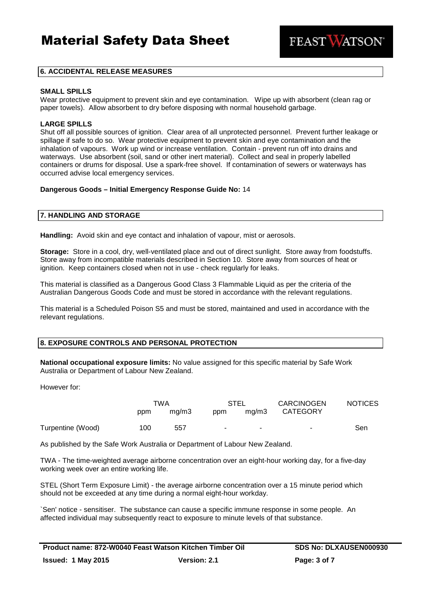**FEAST WATSON** 

### **6. ACCIDENTAL RELEASE MEASURES**

### **SMALL SPILLS**

Wear protective equipment to prevent skin and eve contamination. Wipe up with absorbent (clean rag or paper towels). Allow absorbent to dry before disposing with normal household garbage.

#### **LARGE SPILLS**

Shut off all possible sources of ignition. Clear area of all unprotected personnel. Prevent further leakage or spillage if safe to do so. Wear protective equipment to prevent skin and eye contamination and the inhalation of vapours. Work up wind or increase ventilation. Contain - prevent run off into drains and waterways. Use absorbent (soil, sand or other inert material). Collect and seal in properly labelled containers or drums for disposal. Use a spark-free shovel. If contamination of sewers or waterways has occurred advise local emergency services.

#### **Dangerous Goods – Initial Emergency Response Guide No:** 14

## **7. HANDLING AND STORAGE**

**Handling:** Avoid skin and eye contact and inhalation of vapour, mist or aerosols.

**Storage:** Store in a cool, dry, well-ventilated place and out of direct sunlight. Store away from foodstuffs. Store away from incompatible materials described in Section 10. Store away from sources of heat or ignition. Keep containers closed when not in use - check regularly for leaks.

This material is classified as a Dangerous Good Class 3 Flammable Liquid as per the criteria of the Australian Dangerous Goods Code and must be stored in accordance with the relevant regulations.

This material is a Scheduled Poison S5 and must be stored, maintained and used in accordance with the relevant regulations.

#### **8. EXPOSURE CONTROLS AND PERSONAL PROTECTION**

**National occupational exposure limits:** No value assigned for this specific material by Safe Work Australia or Department of Labour New Zealand.

However for:

|                   | TWA |       | STEL                     |       | <b>CARCINOGEN</b> | <b>NOTICES</b> |
|-------------------|-----|-------|--------------------------|-------|-------------------|----------------|
|                   | ppm | ma/m3 | ppm                      | ma/m3 | CATEGORY          |                |
| Turpentine (Wood) | 100 | 557   | $\overline{\phantom{a}}$ | ۰     | ٠                 | Sen            |

As published by the Safe Work Australia or Department of Labour New Zealand.

TWA - The time-weighted average airborne concentration over an eight-hour working day, for a five-day working week over an entire working life.

STEL (Short Term Exposure Limit) - the average airborne concentration over a 15 minute period which should not be exceeded at any time during a normal eight-hour workday.

`Sen' notice - sensitiser. The substance can cause a specific immune response in some people. An affected individual may subsequently react to exposure to minute levels of that substance.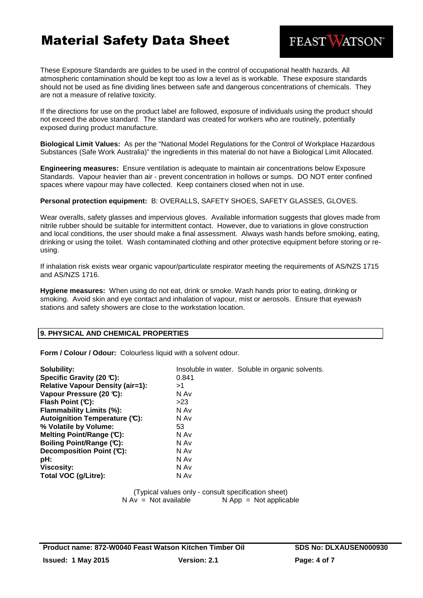These Exposure Standards are guides to be used in the control of occupational health hazards. All atmospheric contamination should be kept too as low a level as is workable. These exposure standards should not be used as fine dividing lines between safe and dangerous concentrations of chemicals. They are not a measure of relative toxicity.

If the directions for use on the product label are followed, exposure of individuals using the product should not exceed the above standard. The standard was created for workers who are routinely, potentially exposed during product manufacture.

**Biological Limit Values:** As per the "National Model Regulations for the Control of Workplace Hazardous Substances (Safe Work Australia)" the ingredients in this material do not have a Biological Limit Allocated.

**Engineering measures:** Ensure ventilation is adequate to maintain air concentrations below Exposure Standards. Vapour heavier than air - prevent concentration in hollows or sumps. DO NOT enter confined spaces where vapour may have collected. Keep containers closed when not in use.

**Personal protection equipment:** B: OVERALLS, SAFETY SHOES, SAFETY GLASSES, GLOVES.

Wear overalls, safety glasses and impervious gloves. Available information suggests that gloves made from nitrile rubber should be suitable for intermittent contact. However, due to variations in glove construction and local conditions, the user should make a final assessment. Always wash hands before smoking, eating, drinking or using the toilet. Wash contaminated clothing and other protective equipment before storing or reusing.

If inhalation risk exists wear organic vapour/particulate respirator meeting the requirements of AS/NZS 1715 and AS/NZS 1716.

**Hygiene measures:** When using do not eat, drink or smoke. Wash hands prior to eating, drinking or smoking. Avoid skin and eye contact and inhalation of vapour, mist or aerosols. Ensure that eyewash stations and safety showers are close to the workstation location.

## **9. PHYSICAL AND CHEMICAL PROPERTIES**

**Form / Colour / Odour:** Colourless liquid with a solvent odour.

| Solubility:                             |       | Insoluble in water. Soluble in organic solvents. |
|-----------------------------------------|-------|--------------------------------------------------|
| Specific Gravity (20 °C):               | 0.841 |                                                  |
| <b>Relative Vapour Density (air=1):</b> | >1    |                                                  |
| Vapour Pressure (20 °C):                | N Av  |                                                  |
| Flash Point $(C)$ :                     | >23   |                                                  |
| <b>Flammability Limits (%):</b>         | N Av  |                                                  |
| Autoignition Temperature (C):           | N Av  |                                                  |
| % Volatile by Volume:                   | 53    |                                                  |
| Melting Point/Range (C):                | N Av  |                                                  |
| Boiling Point/Range (C):                | N Av  |                                                  |
| Decomposition Point (°C):               | N Av  |                                                  |
| pH:                                     | N Av  |                                                  |
| <b>Viscosity:</b>                       | N Av  |                                                  |
| Total VOC (g/Litre):                    | N Av  |                                                  |

(Typical values only - consult specification sheet)  $N Av = Not available$   $N App = Not applicable$ 

FEAST WATSON®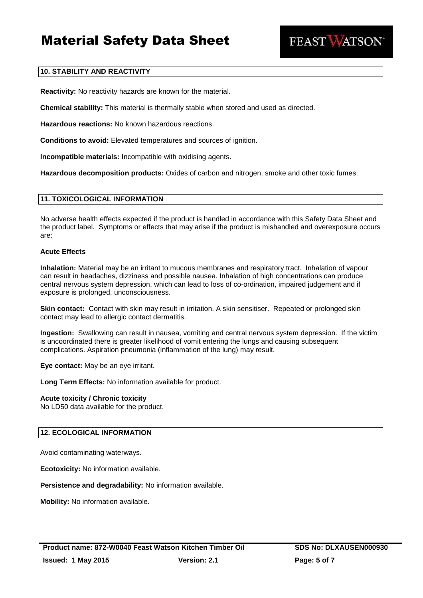

## **10. STABILITY AND REACTIVITY**

**Reactivity:** No reactivity hazards are known for the material.

**Chemical stability:** This material is thermally stable when stored and used as directed.

**Hazardous reactions:** No known hazardous reactions.

**Conditions to avoid:** Elevated temperatures and sources of ignition.

**Incompatible materials:** Incompatible with oxidising agents.

**Hazardous decomposition products:** Oxides of carbon and nitrogen, smoke and other toxic fumes.

### **11. TOXICOLOGICAL INFORMATION**

No adverse health effects expected if the product is handled in accordance with this Safety Data Sheet and the product label. Symptoms or effects that may arise if the product is mishandled and overexposure occurs are:

### **Acute Effects**

**Inhalation:** Material may be an irritant to mucous membranes and respiratory tract. Inhalation of vapour can result in headaches, dizziness and possible nausea. Inhalation of high concentrations can produce central nervous system depression, which can lead to loss of co-ordination, impaired judgement and if exposure is prolonged, unconsciousness.

**Skin contact:** Contact with skin may result in irritation. A skin sensitiser. Repeated or prolonged skin contact may lead to allergic contact dermatitis.

**Ingestion:** Swallowing can result in nausea, vomiting and central nervous system depression. If the victim is uncoordinated there is greater likelihood of vomit entering the lungs and causing subsequent complications. Aspiration pneumonia (inflammation of the lung) may result.

**Eye contact:** May be an eye irritant.

**Long Term Effects:** No information available for product.

#### **Acute toxicity / Chronic toxicity**

No LD50 data available for the product.

## **12. ECOLOGICAL INFORMATION**

Avoid contaminating waterways.

**Ecotoxicity:** No information available.

**Persistence and degradability:** No information available.

**Mobility:** No information available.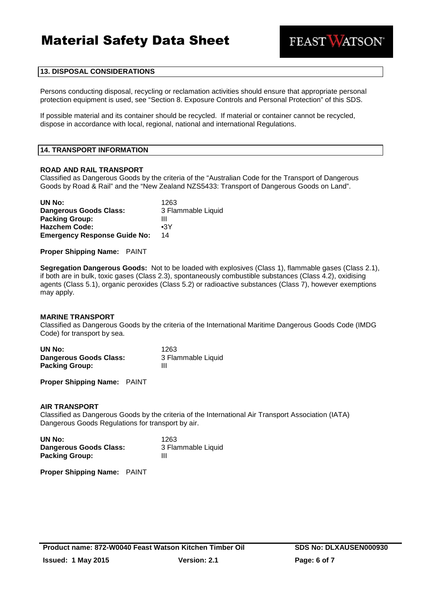

## **13. DISPOSAL CONSIDERATIONS**

Persons conducting disposal, recycling or reclamation activities should ensure that appropriate personal protection equipment is used, see "Section 8. Exposure Controls and Personal Protection" of this SDS.

If possible material and its container should be recycled. If material or container cannot be recycled, dispose in accordance with local, regional, national and international Regulations.

#### **14. TRANSPORT INFORMATION**

#### **ROAD AND RAIL TRANSPORT**

Classified as Dangerous Goods by the criteria of the "Australian Code for the Transport of Dangerous Goods by Road & Rail" and the "New Zealand NZS5433: Transport of Dangerous Goods on Land".

| UN No:                              | 1263               |
|-------------------------------------|--------------------|
| <b>Dangerous Goods Class:</b>       | 3 Flammable Liquid |
| <b>Packing Group:</b>               | Ш                  |
| <b>Hazchem Code:</b>                | $\bullet$ 3Y       |
| <b>Emergency Response Guide No:</b> | 14                 |

**Proper Shipping Name:** PAINT

**Segregation Dangerous Goods:** Not to be loaded with explosives (Class 1), flammable gases (Class 2.1), if both are in bulk, toxic gases (Class 2.3), spontaneously combustible substances (Class 4.2), oxidising agents (Class 5.1), organic peroxides (Class 5.2) or radioactive substances (Class 7), however exemptions may apply.

#### **MARINE TRANSPORT**

Classified as Dangerous Goods by the criteria of the International Maritime Dangerous Goods Code (IMDG Code) for transport by sea.

| UN No:                 | 1263               |
|------------------------|--------------------|
| Dangerous Goods Class: | 3 Flammable Liquid |
| <b>Packing Group:</b>  | Ш                  |

**Proper Shipping Name:** PAINT

#### **AIR TRANSPORT**

Classified as Dangerous Goods by the criteria of the International Air Transport Association (IATA) Dangerous Goods Regulations for transport by air.

| UN No:                 | 1263               |
|------------------------|--------------------|
| Dangerous Goods Class: | 3 Flammable Liquid |
| <b>Packing Group:</b>  | Ш                  |

**Proper Shipping Name:** PAINT